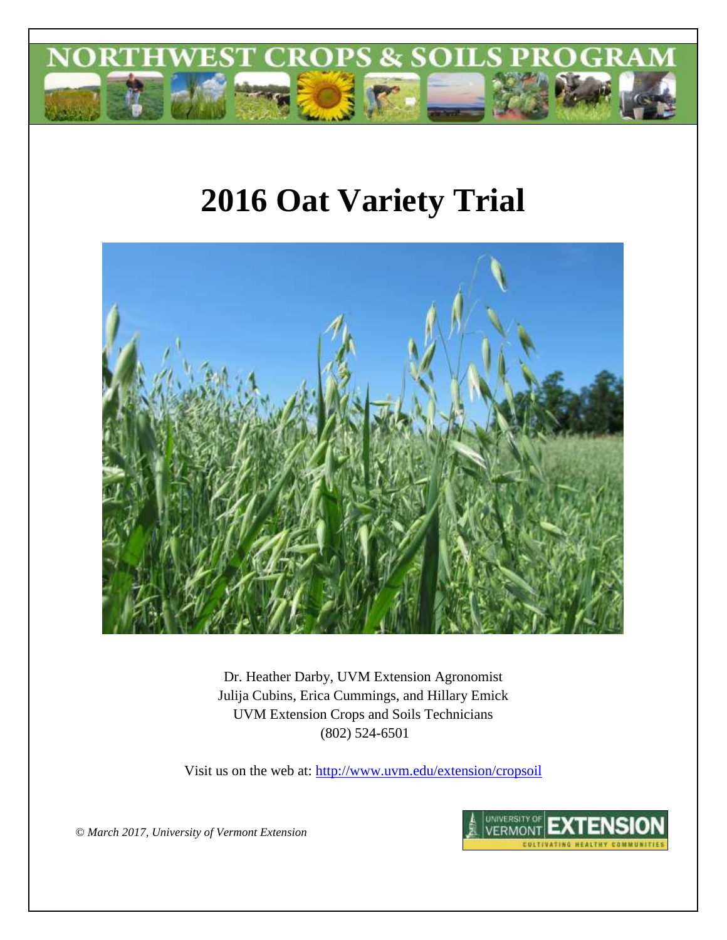

# **2016 Oat Variety Trial**



Dr. Heather Darby, UVM Extension Agronomist Julija Cubins, Erica Cummings, and Hillary Emick UVM Extension Crops and Soils Technicians (802) 524-6501

Visit us on the web at:<http://www.uvm.edu/extension/cropsoil>

*© March 2017, University of Vermont Extension*

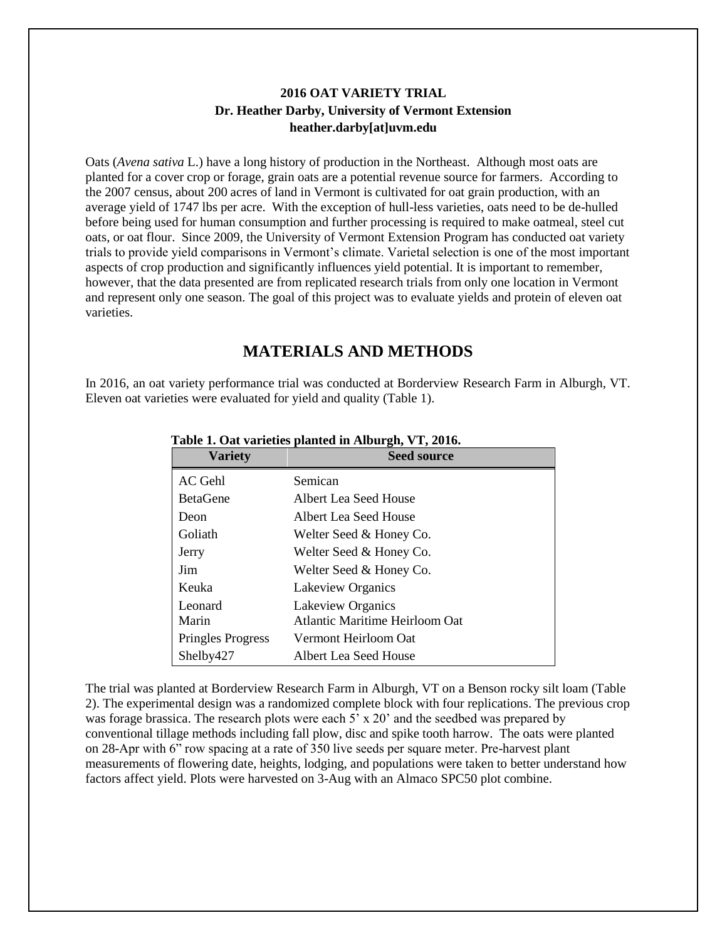## **2016 OAT VARIETY TRIAL Dr. Heather Darby, University of Vermont Extension heather.darby[at]uvm.edu**

Oats (*Avena sativa* L.) have a long history of production in the Northeast. Although most oats are planted for a cover crop or forage, grain oats are a potential revenue source for farmers. According to the 2007 census, about 200 acres of land in Vermont is cultivated for oat grain production, with an average yield of 1747 lbs per acre. With the exception of hull-less varieties, oats need to be de-hulled before being used for human consumption and further processing is required to make oatmeal, steel cut oats, or oat flour. Since 2009, the University of Vermont Extension Program has conducted oat variety trials to provide yield comparisons in Vermont's climate. Varietal selection is one of the most important aspects of crop production and significantly influences yield potential. It is important to remember, however, that the data presented are from replicated research trials from only one location in Vermont and represent only one season. The goal of this project was to evaluate yields and protein of eleven oat varieties.

## **MATERIALS AND METHODS**

In 2016, an oat variety performance trial was conducted at Borderview Research Farm in Alburgh, VT. Eleven oat varieties were evaluated for yield and quality (Table 1).

| <b>Variety</b>           | <b>Seed source</b>             |
|--------------------------|--------------------------------|
| AC Gehl                  | Semican                        |
| <b>BetaGene</b>          | Albert Lea Seed House          |
| Deon                     | Albert Lea Seed House          |
| Goliath                  | Welter Seed & Honey Co.        |
| Jerry                    | Welter Seed & Honey Co.        |
| Jim                      | Welter Seed & Honey Co.        |
| Keuka                    | Lakeview Organics              |
| Leonard                  | Lakeview Organics              |
| Marin                    | Atlantic Maritime Heirloom Oat |
| <b>Pringles Progress</b> | Vermont Heirloom Oat           |
| Shelby427                | Albert Lea Seed House          |

#### **Table 1. Oat varieties planted in Alburgh, VT, 2016.**

The trial was planted at Borderview Research Farm in Alburgh, VT on a Benson rocky silt loam (Table 2). The experimental design was a randomized complete block with four replications. The previous crop was forage brassica. The research plots were each 5' x 20' and the seedbed was prepared by conventional tillage methods including fall plow, disc and spike tooth harrow. The oats were planted on 28-Apr with 6" row spacing at a rate of 350 live seeds per square meter. Pre-harvest plant measurements of flowering date, heights, lodging, and populations were taken to better understand how factors affect yield. Plots were harvested on 3-Aug with an Almaco SPC50 plot combine.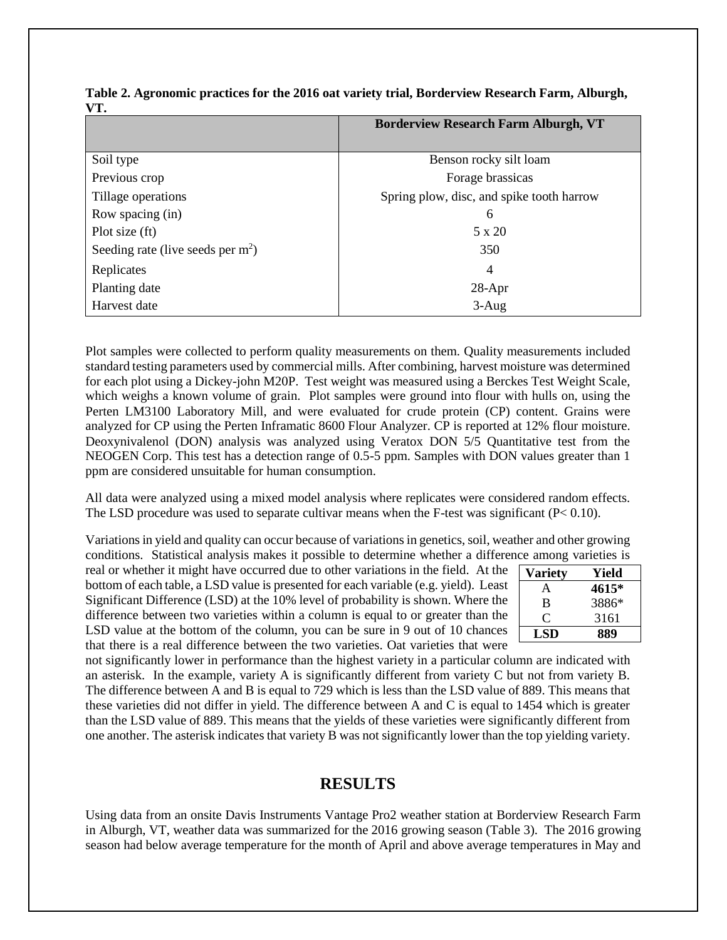| .                                   |                                             |
|-------------------------------------|---------------------------------------------|
|                                     | <b>Borderview Research Farm Alburgh, VT</b> |
|                                     |                                             |
| Soil type                           | Benson rocky silt loam                      |
| Previous crop                       | Forage brassicas                            |
| Tillage operations                  | Spring plow, disc, and spike tooth harrow   |
| Row spacing (in)                    | 6                                           |
| Plot size (ft)                      | 5 x 20                                      |
| Seeding rate (live seeds per $m2$ ) | 350                                         |
| Replicates                          | $\overline{4}$                              |
| Planting date                       | $28-Apr$                                    |
| Harvest date                        | $3-Aug$                                     |

**Table 2. Agronomic practices for the 2016 oat variety trial, Borderview Research Farm, Alburgh,**   $V$ T

Plot samples were collected to perform quality measurements on them. Quality measurements included standard testing parameters used by commercial mills. After combining, harvest moisture was determined for each plot using a Dickey-john M20P. Test weight was measured using a Berckes Test Weight Scale, which weighs a known volume of grain. Plot samples were ground into flour with hulls on, using the Perten LM3100 Laboratory Mill, and were evaluated for crude protein (CP) content. Grains were analyzed for CP using the Perten Inframatic 8600 Flour Analyzer. CP is reported at 12% flour moisture. Deoxynivalenol (DON) analysis was analyzed using Veratox DON 5/5 Quantitative test from the NEOGEN Corp. This test has a detection range of 0.5-5 ppm. Samples with DON values greater than 1 ppm are considered unsuitable for human consumption.

All data were analyzed using a mixed model analysis where replicates were considered random effects. The LSD procedure was used to separate cultivar means when the F-test was significant  $(P< 0.10)$ .

Variations in yield and quality can occur because of variations in genetics, soil, weather and other growing conditions. Statistical analysis makes it possible to determine whether a difference among varieties is

real or whether it might have occurred due to other variations in the field. At the bottom of each table, a LSD value is presented for each variable (e.g. yield). Least Significant Difference (LSD) at the 10% level of probability is shown. Where the difference between two varieties within a column is equal to or greater than the LSD value at the bottom of the column, you can be sure in 9 out of 10 chances that there is a real difference between the two varieties. Oat varieties that were

| Variety | Yield |
|---------|-------|
| A       | 4615* |
| B       | 3886* |
| 0       | 3161  |
| LSD     | 889   |

not significantly lower in performance than the highest variety in a particular column are indicated with an asterisk. In the example, variety A is significantly different from variety C but not from variety B. The difference between A and B is equal to 729 which is less than the LSD value of 889. This means that these varieties did not differ in yield. The difference between A and C is equal to 1454 which is greater than the LSD value of 889. This means that the yields of these varieties were significantly different from one another. The asterisk indicates that variety B was not significantly lower than the top yielding variety.

## **RESULTS**

Using data from an onsite Davis Instruments Vantage Pro2 weather station at Borderview Research Farm in Alburgh, VT, weather data was summarized for the 2016 growing season (Table 3). The 2016 growing season had below average temperature for the month of April and above average temperatures in May and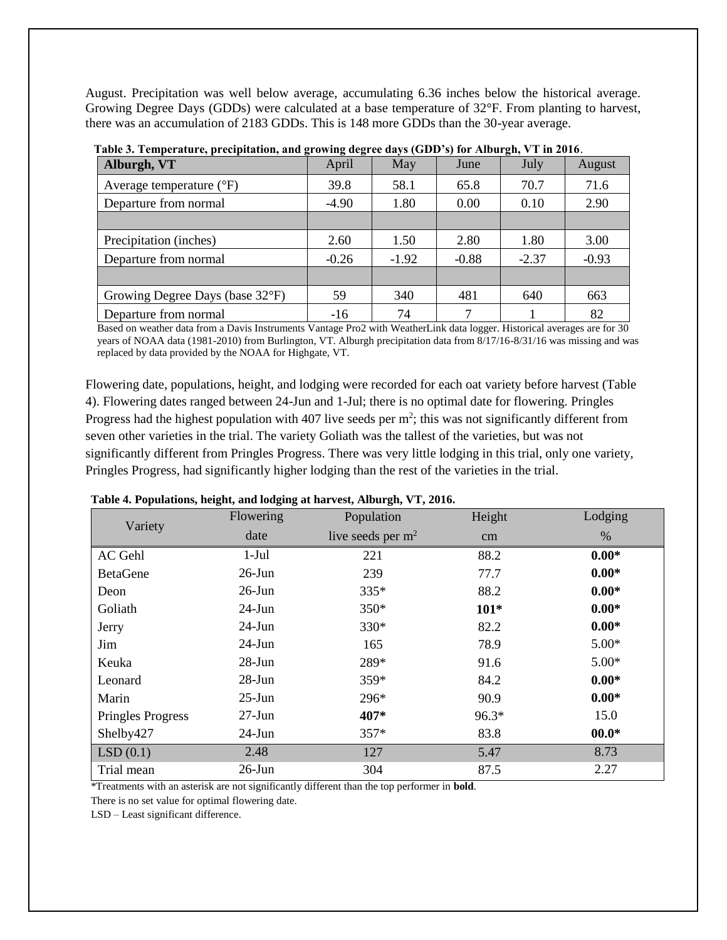August. Precipitation was well below average, accumulating 6.36 inches below the historical average. Growing Degree Days (GDDs) were calculated at a base temperature of 32°F. From planting to harvest, there was an accumulation of 2183 GDDs. This is 148 more GDDs than the 30-year average.

| Alburgh, VT                       | April   | May     | June    | July    | August  |
|-----------------------------------|---------|---------|---------|---------|---------|
| Average temperature $(^{\circ}F)$ | 39.8    | 58.1    | 65.8    | 70.7    | 71.6    |
| Departure from normal             | $-4.90$ | 1.80    | 0.00    | 0.10    | 2.90    |
|                                   |         |         |         |         |         |
| Precipitation (inches)            | 2.60    | 1.50    | 2.80    | 1.80    | 3.00    |
| Departure from normal             | $-0.26$ | $-1.92$ | $-0.88$ | $-2.37$ | $-0.93$ |
|                                   |         |         |         |         |         |
| Growing Degree Days (base 32°F)   | 59      | 340     | 481     | 640     | 663     |
| Departure from normal             | $-16$   | 74      | 7       |         | 82      |

|  |  |  | Table 3. Temperature, precipitation, and growing degree days (GDD's) for Alburgh, VT in 2016. |
|--|--|--|-----------------------------------------------------------------------------------------------|
|  |  |  |                                                                                               |

Based on weather data from a Davis Instruments Vantage Pro2 with WeatherLink data logger. Historical averages are for 30 years of NOAA data (1981-2010) from Burlington, VT. Alburgh precipitation data from 8/17/16-8/31/16 was missing and was replaced by data provided by the NOAA for Highgate, VT.

Flowering date, populations, height, and lodging were recorded for each oat variety before harvest (Table 4). Flowering dates ranged between 24-Jun and 1-Jul; there is no optimal date for flowering. Pringles Progress had the highest population with 407 live seeds per  $m^2$ ; this was not significantly different from seven other varieties in the trial. The variety Goliath was the tallest of the varieties, but was not significantly different from Pringles Progress. There was very little lodging in this trial, only one variety, Pringles Progress, had significantly higher lodging than the rest of the varieties in the trial.

#### **Table 4. Populations, height, and lodging at harvest, Alburgh, VT, 2016.**

| Variety                  | Flowering | Population          | Height  | Lodging |
|--------------------------|-----------|---------------------|---------|---------|
|                          | date      | live seeds per $m2$ | cm      | $\%$    |
| AC Gehl                  | $1-Jul$   | 221                 | 88.2    | $0.00*$ |
| <b>BetaGene</b>          | $26$ -Jun | 239                 | 77.7    | $0.00*$ |
| Deon                     | $26$ -Jun | 335*                | 88.2    | $0.00*$ |
| Goliath                  | $24-J$ un | 350*                | $101*$  | $0.00*$ |
| Jerry                    | $24-J$ un | 330*                | 82.2    | $0.00*$ |
| Jim                      | $24-J$ un | 165                 | 78.9    | $5.00*$ |
| Keuka                    | $28-Jun$  | 289*                | 91.6    | $5.00*$ |
| Leonard                  | $28-Jun$  | 359*                | 84.2    | $0.00*$ |
| Marin                    | $25$ -Jun | 296*                | 90.9    | $0.00*$ |
| <b>Pringles Progress</b> | $27-Jun$  | 407*                | $96.3*$ | 15.0    |
| Shelby427                | $24-Jun$  | 357*                | 83.8    | $00.0*$ |
| LSD(0.1)                 | 2.48      | 127                 | 5.47    | 8.73    |
| Trial mean               | $26$ -Jun | 304                 | 87.5    | 2.27    |

\*Treatments with an asterisk are not significantly different than the top performer in **bold**.

There is no set value for optimal flowering date.

LSD – Least significant difference.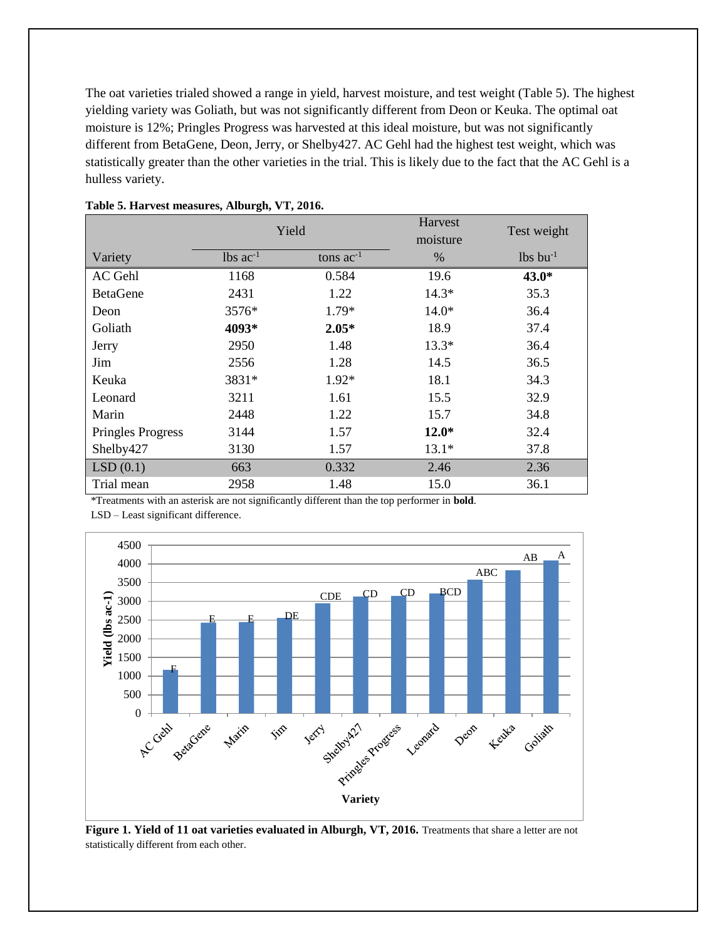The oat varieties trialed showed a range in yield, harvest moisture, and test weight (Table 5). The highest yielding variety was Goliath, but was not significantly different from Deon or Keuka. The optimal oat moisture is 12%; Pringles Progress was harvested at this ideal moisture, but was not significantly different from BetaGene, Deon, Jerry, or Shelby427. AC Gehl had the highest test weight, which was statistically greater than the other varieties in the trial. This is likely due to the fact that the AC Gehl is a hulless variety.

|                   | Yield                  |                | Harvest<br>moisture | Test weight            |
|-------------------|------------------------|----------------|---------------------|------------------------|
| Variety           | $lbs$ ac <sup>-1</sup> | tons $ac^{-1}$ | $\%$                | $lbs$ bu <sup>-1</sup> |
| AC Gehl           | 1168                   | 0.584          | 19.6                | $43.0*$                |
| <b>BetaGene</b>   | 2431                   | 1.22           | $14.3*$             | 35.3                   |
| Deon              | 3576*                  | 1.79*          | $14.0*$             | 36.4                   |
| Goliath           | 4093*                  | $2.05*$        | 18.9                | 37.4                   |
| Jerry             | 2950                   | 1.48           | $13.3*$             | 36.4                   |
| Jim               | 2556                   | 1.28           | 14.5                | 36.5                   |
| Keuka             | 3831*                  | $1.92*$        | 18.1                | 34.3                   |
| Leonard           | 3211                   | 1.61           | 15.5                | 32.9                   |
| Marin             | 2448                   | 1.22           | 15.7                | 34.8                   |
| Pringles Progress | 3144                   | 1.57           | $12.0*$             | 32.4                   |
| Shelby427         | 3130                   | 1.57           | $13.1*$             | 37.8                   |
| LSD(0.1)          | 663                    | 0.332          | 2.46                | 2.36                   |
| Trial mean        | 2958                   | 1.48           | 15.0                | 36.1                   |

#### **Table 5. Harvest measures, Alburgh, VT, 2016.**

\*Treatments with an asterisk are not significantly different than the top performer in **bold**.

LSD – Least significant difference.



**Figure 1. Yield of 11 oat varieties evaluated in Alburgh, VT, 2016.** Treatments that share a letter are not statistically different from each other.